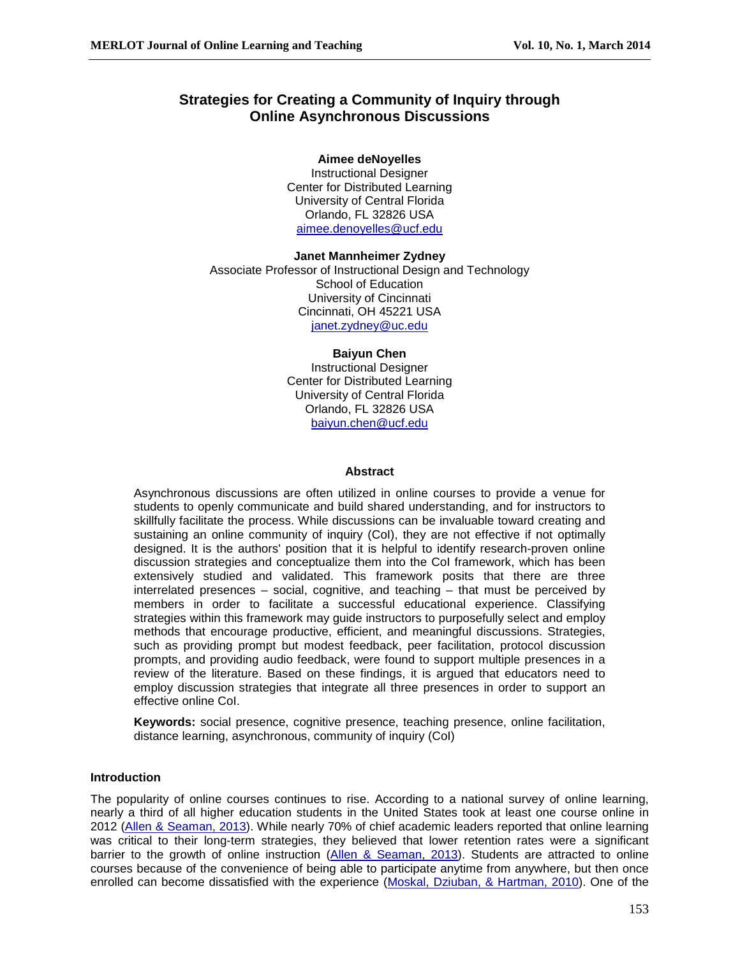# **Strategies for Creating a Community of Inquiry through Online Asynchronous Discussions**

# **Aimee deNoyelles**

Instructional Designer Center for Distributed Learning University of Central Florida Orlando, FL 32826 USA [aimee.denoyelles@ucf.edu](mailto:aimee.denoyelles@ucf.edu)

### **Janet Mannheimer Zydney**

Associate Professor of Instructional Design and Technology School of Education University of Cincinnati Cincinnati, OH 45221 USA [janet.zydney@uc.edu](mailto:janet.zydney@uc.edu)

### **Baiyun Chen**

Instructional Designer Center for Distributed Learning University of Central Florida Orlando, FL 32826 USA [baiyun.chen@ucf.edu](mailto:baiyun.chen@ucf.edu)

### **Abstract**

Asynchronous discussions are often utilized in online courses to provide a venue for students to openly communicate and build shared understanding, and for instructors to skillfully facilitate the process. While discussions can be invaluable toward creating and sustaining an online community of inquiry (CoI), they are not effective if not optimally designed. It is the authors' position that it is helpful to identify research-proven online discussion strategies and conceptualize them into the CoI framework, which has been extensively studied and validated. This framework posits that there are three interrelated presences – social, cognitive, and teaching – that must be perceived by members in order to facilitate a successful educational experience. Classifying strategies within this framework may guide instructors to purposefully select and employ methods that encourage productive, efficient, and meaningful discussions. Strategies, such as providing prompt but modest feedback, peer facilitation, protocol discussion prompts, and providing audio feedback, were found to support multiple presences in a review of the literature. Based on these findings, it is argued that educators need to employ discussion strategies that integrate all three presences in order to support an effective online CoI.

**Keywords:** social presence, cognitive presence, teaching presence, online facilitation, distance learning, asynchronous, community of inquiry (CoI)

# **Introduction**

The popularity of online courses continues to rise. According to a national survey of online learning, nearly a third of all higher education students in the United States took at least one course online in 2012 [\(Allen & Seaman, 2013\)](http://www.onlinelearningsurvey.com/reports/changingcourse.pdf). While nearly 70% of chief academic leaders reported that online learning was critical to their long-term strategies, they believed that lower retention rates were a significant barrier to the growth of online instruction [\(Allen & Seaman, 2013\)](http://www.onlinelearningsurvey.com/reports/changingcourse.pdf). Students are attracted to online courses because of the convenience of being able to participate anytime from anywhere, but then once enrolled can become dissatisfied with the experience (Moskal, [Dziuban, & Hartman, 2010\)](http://dx.doi.org/10.4018/978-1-60566-830-7.ch005). One of the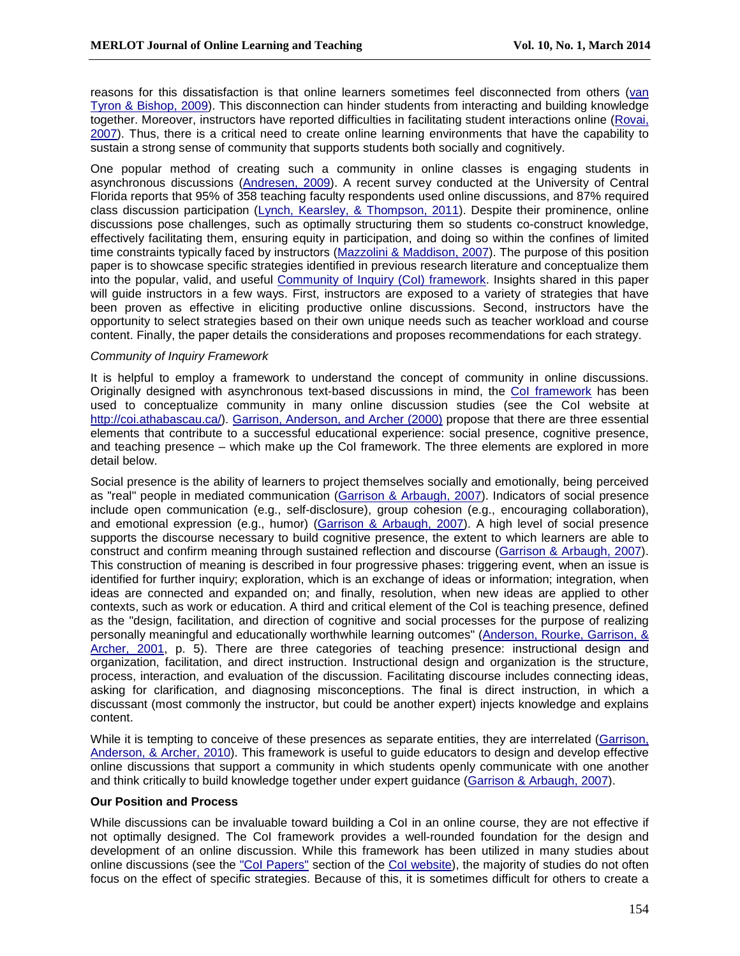reasons for this dissatisfaction is that online learners sometimes feel disconnected from others [\(van](http://dx.doi.org/10.1080/01587910903236312)  [Tyron & Bishop, 2009\)](http://dx.doi.org/10.1080/01587910903236312). This disconnection can hinder students from interacting and building knowledge together. Moreover, instructors have reported difficulties in facilitating student interactions online [\(Rovai,](http://dx.doi.org/10.1016/j.iheduc.2006.10.001)  [2007\)](http://dx.doi.org/10.1016/j.iheduc.2006.10.001). Thus, there is a critical need to create online learning environments that have the capability to sustain a strong sense of community that supports students both socially and cognitively.

One popular method of creating such a community in online classes is engaging students in asynchronous discussions [\(Andresen, 2009\)](http://www.ifets.info/journals/12_1/19.pdf). A recent survey conducted at the University of Central Florida reports that 95% of 358 teaching faculty respondents used online discussions, and 87% required class discussion participation [\(Lynch, Kearsley, & Thompson, 2011\)](http://www.itdl.org/Journal/Feb_11/article02.htm). Despite their prominence, online discussions pose challenges, such as optimally structuring them so students co-construct knowledge, effectively facilitating them, ensuring equity in participation, and doing so within the confines of limited time constraints typically faced by instructors [\(Mazzolini & Maddison,](http://dx.doi.org/10.1016/j.compedu.2005.06.011) 2007). The purpose of this position paper is to showcase specific strategies identified in previous research literature and conceptualize them into the popular, valid, and useful [Community of Inquiry \(CoI\) framework.](http://communitiesofinquiry.com/) Insights shared in this paper will guide instructors in a few ways. First, instructors are exposed to a variety of strategies that have been proven as effective in eliciting productive online discussions. Second, instructors have the opportunity to select strategies based on their own unique needs such as teacher workload and course content. Finally, the paper details the considerations and proposes recommendations for each strategy.

# *Community of Inquiry Framework*

It is helpful to employ a framework to understand the concept of community in online discussions. Originally designed with asynchronous text-based discussions in mind, the [CoI framework](http://communitiesofinquiry.com/) has been used to conceptualize community in many online discussion studies (see the CoI website at [http://coi.athabascau.ca/\)](http://coi.athabascau.ca/). [Garrison, Anderson, and Archer \(2000\)](http://dx.doi.org/10.1016/S1096-7516(00)00016-6) propose that there are three essential elements that contribute to a successful educational experience: social presence, cognitive presence, and teaching presence – which make up the CoI framework. The three elements are explored in more detail below.

Social presence is the ability of learners to project themselves socially and emotionally, being perceived as "real" people in mediated communication [\(Garrison & Arbaugh, 2007\)](http://dx.doi.org/10.1016/j.iheduc.2007.04.001). Indicators of social presence include open communication (e.g., self-disclosure), group cohesion (e.g., encouraging collaboration), and emotional expression (e.g., humor) [\(Garrison & Arbaugh, 2007\)](http://dx.doi.org/10.1016/j.iheduc.2007.04.001). A high level of social presence supports the discourse necessary to build cognitive presence, the extent to which learners are able to construct and confirm meaning through sustained reflection and discourse [\(Garrison & Arbaugh, 2007\)](http://dx.doi.org/10.1016/j.iheduc.2007.04.001). This construction of meaning is described in four progressive phases: triggering event, when an issue is identified for further inquiry; exploration, which is an exchange of ideas or information; integration, when ideas are connected and expanded on; and finally, resolution, when new ideas are applied to other contexts, such as work or education. A third and critical element of the CoI is teaching presence, defined as the "design, facilitation, and direction of cognitive and social processes for the purpose of realizing personally meaningful and educationally worthwhile learning outcomes" [\(Anderson, Rourke, Garrison, &](http://www.sloanconsortium.org/sites/default/files/v5n2_anderson_1.pdf)  [Archer, 2001,](http://www.sloanconsortium.org/sites/default/files/v5n2_anderson_1.pdf) p. 5). There are three categories of teaching presence: instructional design and organization, facilitation, and direct instruction. Instructional design and organization is the structure, process, interaction, and evaluation of the discussion. Facilitating discourse includes connecting ideas, asking for clarification, and diagnosing misconceptions. The final is direct instruction, in which a discussant (most commonly the instructor, but could be another expert) injects knowledge and explains content.

While it is tempting to conceive of these presences as separate entities, they are interrelated [\(Garrison,](http://dx.doi.org/10.1016/j.iheduc.2009.10.003)  [Anderson, & Archer, 2010\)](http://dx.doi.org/10.1016/j.iheduc.2009.10.003). This framework is useful to guide educators to design and develop effective online discussions that support a community in which students openly communicate with one another and think critically to build knowledge together under expert guidance [\(Garrison & Arbaugh, 2007\)](http://dx.doi.org/10.1016/j.iheduc.2007.04.001).

#### **Our Position and Process**

While discussions can be invaluable toward building a CoI in an online course, they are not effective if not optimally designed. The CoI framework provides a well-rounded foundation for the design and development of an online discussion. While this framework has been utilized in many studies about online discussions (see the ["CoI Papers"](http://coi.athabascau.ca/publications/coi-papers/) section of the [CoI website\)](http://coi.athabascau.ca/), the majority of studies do not often focus on the effect of specific strategies. Because of this, it is sometimes difficult for others to create a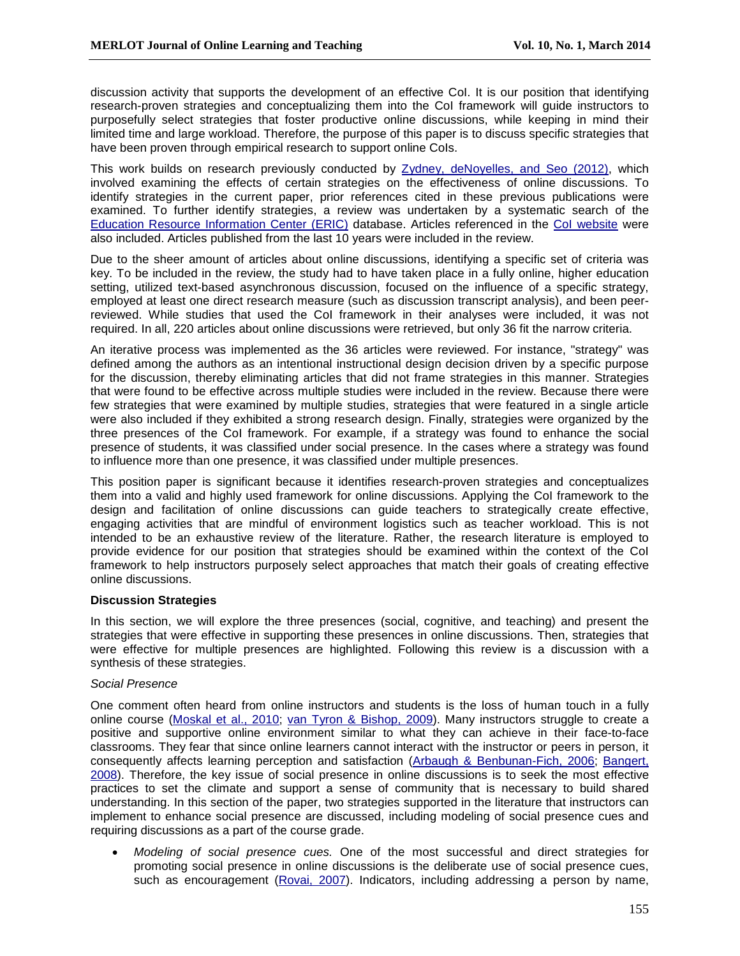discussion activity that supports the development of an effective CoI. It is our position that identifying research-proven strategies and conceptualizing them into the CoI framework will guide instructors to purposefully select strategies that foster productive online discussions, while keeping in mind their limited time and large workload. Therefore, the purpose of this paper is to discuss specific strategies that have been proven through empirical research to support online CoIs.

This work builds on research previously conducted by [Zydney, deNoyelles, and Seo \(2012\),](http://dx.doi.org/10.1016/j.compedu.2011.07.009) which involved examining the effects of certain strategies on the effectiveness of online discussions. To identify strategies in the current paper, prior references cited in these previous publications were examined. To further identify strategies, a review was undertaken by a systematic search of the [Education Resource Information Center \(ERIC\)](http://www.eric.ed.gov/) database. Articles referenced in the Col website were also included. Articles published from the last 10 years were included in the review.

Due to the sheer amount of articles about online discussions, identifying a specific set of criteria was key. To be included in the review, the study had to have taken place in a fully online, higher education setting, utilized text-based asynchronous discussion, focused on the influence of a specific strategy, employed at least one direct research measure (such as discussion transcript analysis), and been peerreviewed. While studies that used the CoI framework in their analyses were included, it was not required. In all, 220 articles about online discussions were retrieved, but only 36 fit the narrow criteria.

An iterative process was implemented as the 36 articles were reviewed. For instance, "strategy" was defined among the authors as an intentional instructional design decision driven by a specific purpose for the discussion, thereby eliminating articles that did not frame strategies in this manner. Strategies that were found to be effective across multiple studies were included in the review. Because there were few strategies that were examined by multiple studies, strategies that were featured in a single article were also included if they exhibited a strong research design. Finally, strategies were organized by the three presences of the CoI framework. For example, if a strategy was found to enhance the social presence of students, it was classified under social presence. In the cases where a strategy was found to influence more than one presence, it was classified under multiple presences.

This position paper is significant because it identifies research-proven strategies and conceptualizes them into a valid and highly used framework for online discussions. Applying the CoI framework to the design and facilitation of online discussions can guide teachers to strategically create effective, engaging activities that are mindful of environment logistics such as teacher workload. This is not intended to be an exhaustive review of the literature. Rather, the research literature is employed to provide evidence for our position that strategies should be examined within the context of the CoI framework to help instructors purposely select approaches that match their goals of creating effective online discussions.

# **Discussion Strategies**

In this section, we will explore the three presences (social, cognitive, and teaching) and present the strategies that were effective in supporting these presences in online discussions. Then, strategies that were effective for multiple presences are highlighted. Following this review is a discussion with a synthesis of these strategies.

# *Social Presence*

One comment often heard from online instructors and students is the loss of human touch in a fully online course [\(Moskal et al., 2010;](http://dx.doi.org/10.4018/978-1-60566-830-7.ch005) [van Tyron & Bishop, 2009\)](http://dx.doi.org/10.1080/01587910903236312). Many instructors struggle to create a positive and supportive online environment similar to what they can achieve in their face-to-face classrooms. They fear that since online learners cannot interact with the instructor or peers in person, it consequently affects learning perception and satisfaction [\(Arbaugh & Benbunan-Fich, 2006;](http://dx.doi.org/10.5465/AMLE.2006.23473204) [Bangert,](http://dx.doi.org/10.1007/BF03033431)  [2008\)](http://dx.doi.org/10.1007/BF03033431). Therefore, the key issue of social presence in online discussions is to seek the most effective practices to set the climate and support a sense of community that is necessary to build shared understanding. In this section of the paper, two strategies supported in the literature that instructors can implement to enhance social presence are discussed, including modeling of social presence cues and requiring discussions as a part of the course grade.

• *Modeling of social presence cues.* One of the most successful and direct strategies for promoting social presence in online discussions is the deliberate use of social presence cues, such as encouragement [\(Rovai, 2007\)](http://dx.doi.org/10.1016/j.iheduc.2006.10.001). Indicators, including addressing a person by name,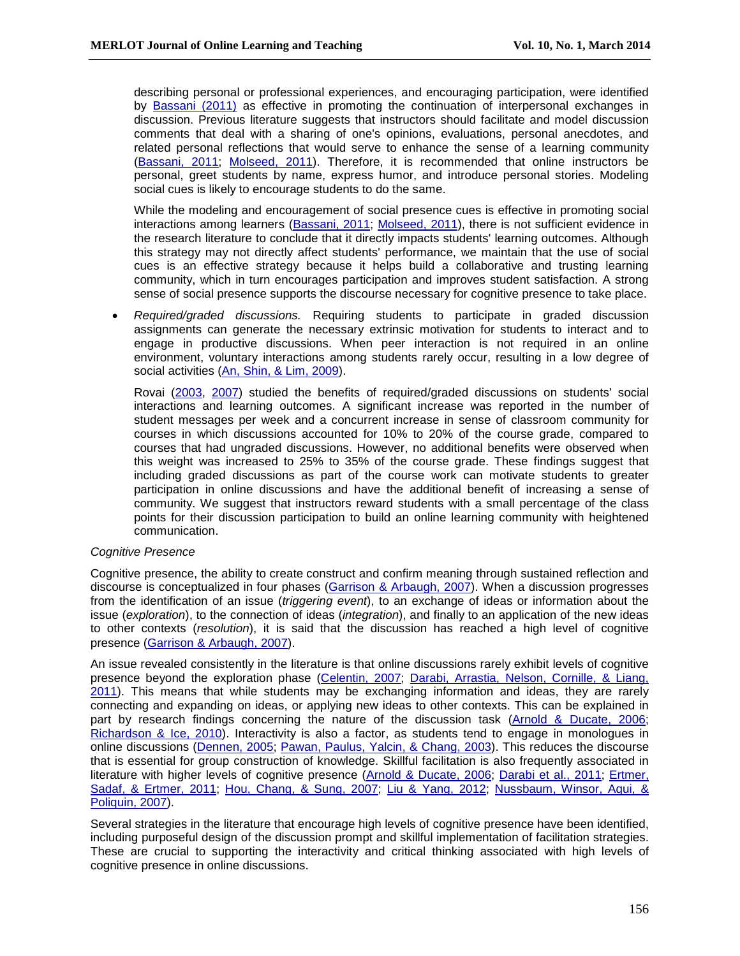describing personal or professional experiences, and encouraging participation, were identified by [Bassani \(2011\)](http://dx.doi.org/10.1016/j.compedu.2010.11.009) as effective in promoting the continuation of interpersonal exchanges in discussion. Previous literature suggests that instructors should facilitate and model discussion comments that deal with a sharing of one's opinions, evaluations, personal anecdotes, and related personal reflections that would serve to enhance the sense of a learning community [\(Bassani, 2011;](http://dx.doi.org/10.1016/j.compedu.2010.11.009) [Molseed, 2011\)](http://dx.doi.org/10.1080/08923647.2011.618401). Therefore, it is recommended that online instructors be personal, greet students by name, express humor, and introduce personal stories. Modeling social cues is likely to encourage students to do the same.

While the modeling and encouragement of social presence cues is effective in promoting social interactions among learners [\(Bassani, 2011;](http://dx.doi.org/10.1016/j.compedu.2010.11.009) [Molseed, 2011\)](http://dx.doi.org/10.1080/08923647.2011.618401), there is not sufficient evidence in the research literature to conclude that it directly impacts students' learning outcomes. Although this strategy may not directly affect students' performance, we maintain that the use of social cues is an effective strategy because it helps build a collaborative and trusting learning community, which in turn encourages participation and improves student satisfaction. A strong sense of social presence supports the discourse necessary for cognitive presence to take place.

• *Required/graded discussions.* Requiring students to participate in graded discussion assignments can generate the necessary extrinsic motivation for students to interact and to engage in productive discussions. When peer interaction is not required in an online environment, voluntary interactions among students rarely occur, resulting in a low degree of social activities [\(An, Shin, & Lim, 2009\)](http://dx.doi.org/10.1016/j.compedu.2009.04.015).

Rovai [\(2003,](http://dx.doi.org/10.1007/BF02940854) [2007\)](http://dx.doi.org/10.1016/j.iheduc.2006.10.001) studied the benefits of required/graded discussions on students' social interactions and learning outcomes. A significant increase was reported in the number of student messages per week and a concurrent increase in sense of classroom community for courses in which discussions accounted for 10% to 20% of the course grade, compared to courses that had ungraded discussions. However, no additional benefits were observed when this weight was increased to 25% to 35% of the course grade. These findings suggest that including graded discussions as part of the course work can motivate students to greater participation in online discussions and have the additional benefit of increasing a sense of community. We suggest that instructors reward students with a small percentage of the class points for their discussion participation to build an online learning community with heightened communication.

# *Cognitive Presence*

Cognitive presence, the ability to create construct and confirm meaning through sustained reflection and discourse is conceptualized in four phases [\(Garrison & Arbaugh, 2007\)](http://dx.doi.org/10.1016/j.iheduc.2007.04.001). When a discussion progresses from the identification of an issue (*triggering event*), to an exchange of ideas or information about the issue (*exploration*), to the connection of ideas (*integration*), and finally to an application of the new ideas to other contexts (*resolution*), it is said that the discussion has reached a high level of cognitive presence [\(Garrison & Arbaugh, 2007\)](http://dx.doi.org/10.1016/j.iheduc.2007.04.001).

An issue revealed consistently in the literature is that online discussions rarely exhibit levels of cognitive presence beyond the exploration phase [\(Celentin, 2007;](http://www.jofde.ca/index.php/jde/article/view/29/35) [Darabi, Arrastia, Nelson, Cornille, & Liang,](http://dx.doi.org/10.1111/j.1365-2729.2010.00392.x)  [2011\)](http://dx.doi.org/10.1111/j.1365-2729.2010.00392.x). This means that while students may be exchanging information and ideas, they are rarely connecting and expanding on ideas, or applying new ideas to other contexts. This can be explained in part by research findings concerning the nature of the discussion task [\(Arnold & Ducate, 2006;](http://llt.msu.edu/vol10num1/arnoldducate/default.html) [Richardson & Ice, 2010\)](http://dx.doi.org/10.1016/j.iheduc.2009.10.009). Interactivity is also a factor, as students tend to engage in monologues in online discussions [\(Dennen, 2005;](http://dx.doi.org/10.1080/01587910500081376) [Pawan, Paulus, Yalcin, & Chang, 2003\)](http://llt.msu.edu/vol7num3/pawan/default.html). This reduces the discourse that is essential for group construction of knowledge. Skillful facilitation is also frequently associated in literature with higher levels of cognitive presence [\(Arnold & Ducate, 2006;](http://llt.msu.edu/vol10num1/arnoldducate/default.html) [Darabi et al., 2011;](http://dx.doi.org/10.1111/j.1365-2729.2010.00392.x) Ertmer, [Sadaf, & Ertmer, 2011;](http://dx.doi.org/10.1007/s12528-011-9047-6) [Hou, Chang, & Sung, 2007;](http://dx.doi.org/10.1080/10494820701206974) [Liu & Yang, 2012;](http://dx.doi.org/10.1016/j.compedu.2012.01.018) [Nussbaum, Winsor, Aqui, &](http://dx.doi.org/10.1007/s11412-007-9025-1)  [Poliquin, 2007\)](http://dx.doi.org/10.1007/s11412-007-9025-1).

Several strategies in the literature that encourage high levels of cognitive presence have been identified, including purposeful design of the discussion prompt and skillful implementation of facilitation strategies. These are crucial to supporting the interactivity and critical thinking associated with high levels of cognitive presence in online discussions.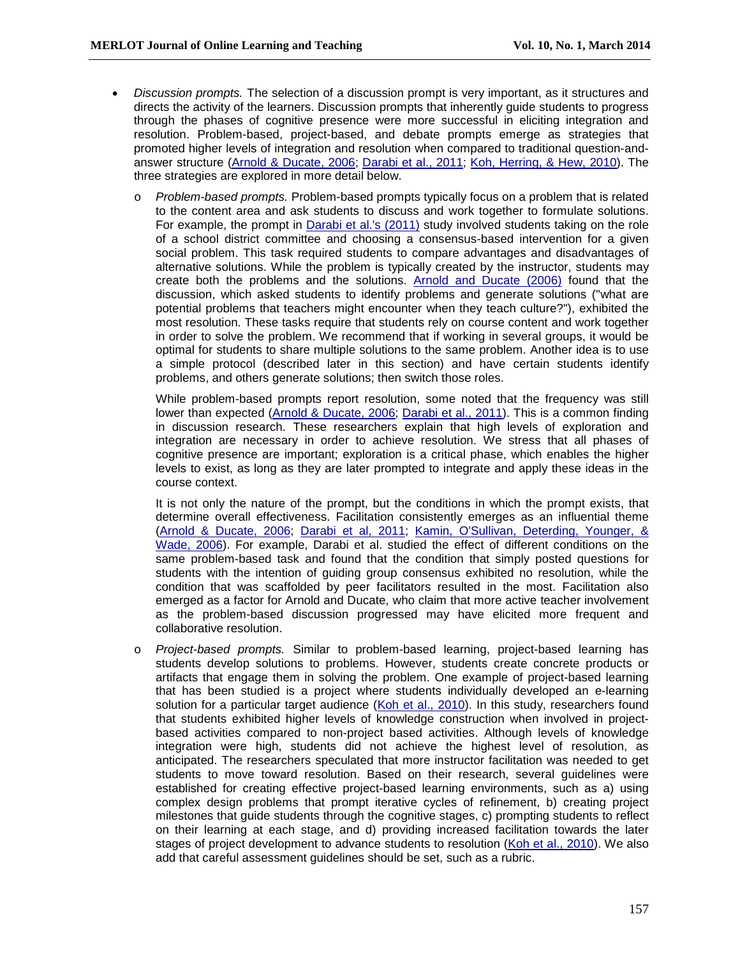- *Discussion prompts.* The selection of a discussion prompt is very important, as it structures and directs the activity of the learners. Discussion prompts that inherently guide students to progress through the phases of cognitive presence were more successful in eliciting integration and resolution. Problem-based, project-based, and debate prompts emerge as strategies that promoted higher levels of integration and resolution when compared to traditional question-andanswer structure [\(Arnold & Ducate, 2006;](http://llt.msu.edu/vol10num1/arnoldducate/default.html) [Darabi et al., 2011;](http://dx.doi.org/10.1111/j.1365-2729.2010.00392.x) [Koh, Herring, & Hew, 2010\)](http://dx.doi.org/10.1016/j.iheduc.2010.09.003). The three strategies are explored in more detail below.
	- *Problem-based prompts.* Problem-based prompts typically focus on a problem that is related to the content area and ask students to discuss and work together to formulate solutions. For example, the prompt in [Darabi et al.'s \(2011\)](http://dx.doi.org/10.1111/j.1365-2729.2010.00392.x) study involved students taking on the role of a school district committee and choosing a consensus-based intervention for a given social problem. This task required students to compare advantages and disadvantages of alternative solutions. While the problem is typically created by the instructor, students may create both the problems and the solutions. [Arnold and Ducate \(2006\)](http://llt.msu.edu/vol10num1/arnoldducate/default.html) found that the discussion, which asked students to identify problems and generate solutions ("what are potential problems that teachers might encounter when they teach culture?"), exhibited the most resolution. These tasks require that students rely on course content and work together in order to solve the problem. We recommend that if working in several groups, it would be optimal for students to share multiple solutions to the same problem. Another idea is to use a simple protocol (described later in this section) and have certain students identify problems, and others generate solutions; then switch those roles.

While problem-based prompts report resolution, some noted that the frequency was still lower than expected [\(Arnold & Ducate, 2006;](http://llt.msu.edu/vol10num1/arnoldducate/default.html) [Darabi et al., 2011\)](http://dx.doi.org/10.1111/j.1365-2729.2010.00392.x). This is a common finding in discussion research. These researchers explain that high levels of exploration and integration are necessary in order to achieve resolution. We stress that all phases of cognitive presence are important; exploration is a critical phase, which enables the higher levels to exist, as long as they are later prompted to integrate and apply these ideas in the course context.

It is not only the nature of the prompt, but the conditions in which the prompt exists, that determine overall effectiveness. Facilitation consistently emerges as an influential theme [\(Arnold & Ducate, 2006;](http://llt.msu.edu/vol10num1/arnoldducate/default.html) [Darabi et al, 2011;](http://dx.doi.org/10.1111/j.1365-2729.2010.00392.x) [Kamin, O'Sullivan, Deterding, Younger, &](http://dx.doi.org/10.1080/01421590600628241)  [Wade, 2006\)](http://dx.doi.org/10.1080/01421590600628241). For example, Darabi et al. studied the effect of different conditions on the same problem-based task and found that the condition that simply posted questions for students with the intention of guiding group consensus exhibited no resolution, while the condition that was scaffolded by peer facilitators resulted in the most. Facilitation also emerged as a factor for Arnold and Ducate, who claim that more active teacher involvement as the problem-based discussion progressed may have elicited more frequent and collaborative resolution.

o *Project-based prompts.* Similar to problem-based learning, project-based learning has students develop solutions to problems. However, students create concrete products or artifacts that engage them in solving the problem. One example of project-based learning that has been studied is a project where students individually developed an e-learning solution for a particular target audience [\(Koh et al., 2010\)](http://dx.doi.org/10.1016/j.iheduc.2010.09.003). In this study, researchers found that students exhibited higher levels of knowledge construction when involved in projectbased activities compared to non-project based activities. Although levels of knowledge integration were high, students did not achieve the highest level of resolution, as anticipated. The researchers speculated that more instructor facilitation was needed to get students to move toward resolution. Based on their research, several guidelines were established for creating effective project-based learning environments, such as a) using complex design problems that prompt iterative cycles of refinement, b) creating project milestones that guide students through the cognitive stages, c) prompting students to reflect on their learning at each stage, and d) providing increased facilitation towards the later stages of project development to advance students to resolution [\(Koh et al., 2010\)](http://dx.doi.org/10.1016/j.iheduc.2010.09.003). We also add that careful assessment guidelines should be set, such as a rubric.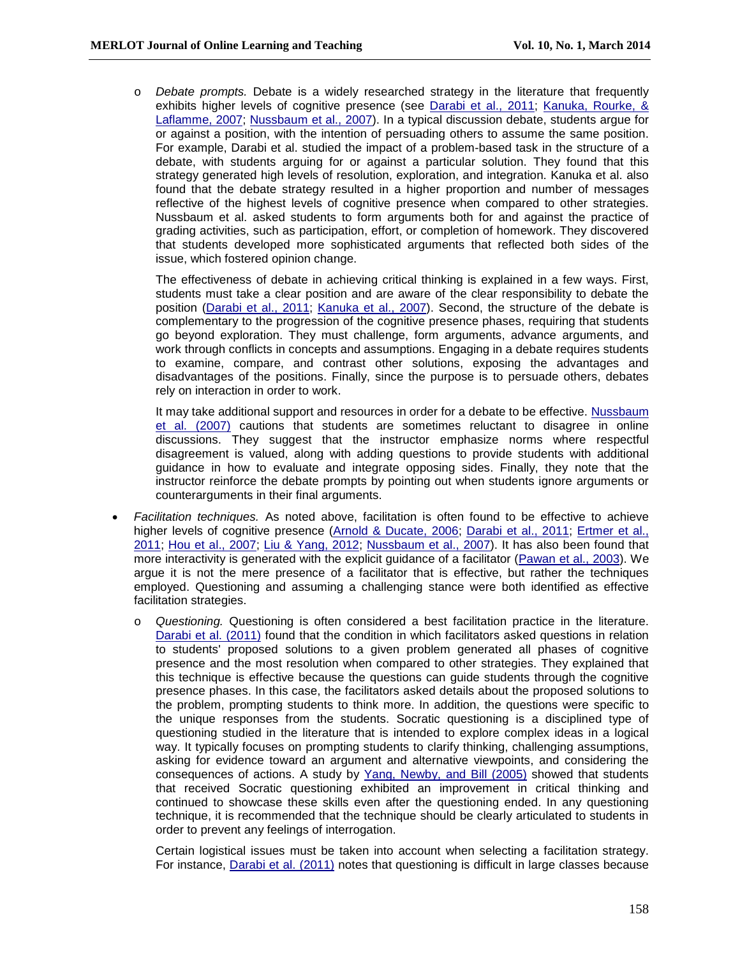o *Debate prompts.* Debate is a widely researched strategy in the literature that frequently exhibits higher levels of cognitive presence (see [Darabi et al., 2011;](http://dx.doi.org/10.1111/j.1365-2729.2010.00392.x) [Kanuka, Rourke, &](http://dx.doi.org/10.1111/j.1467-8535.2006.00620.x)  [Laflamme, 2007;](http://dx.doi.org/10.1111/j.1467-8535.2006.00620.x) [Nussbaum et al., 2007\)](http://dx.doi.org/10.1007/s11412-007-9025-1). In a typical discussion debate, students argue for or against a position, with the intention of persuading others to assume the same position. For example, Darabi et al. studied the impact of a problem-based task in the structure of a debate, with students arguing for or against a particular solution. They found that this strategy generated high levels of resolution, exploration, and integration. Kanuka et al. also found that the debate strategy resulted in a higher proportion and number of messages reflective of the highest levels of cognitive presence when compared to other strategies. Nussbaum et al. asked students to form arguments both for and against the practice of grading activities, such as participation, effort, or completion of homework. They discovered that students developed more sophisticated arguments that reflected both sides of the issue, which fostered opinion change.

The effectiveness of debate in achieving critical thinking is explained in a few ways. First, students must take a clear position and are aware of the clear responsibility to debate the position [\(Darabi et al., 2011;](http://dx.doi.org/10.1111/j.1365-2729.2010.00392.x) [Kanuka et al., 2007\)](http://dx.doi.org/10.1111/j.1467-8535.2006.00620.x). Second, the structure of the debate is complementary to the progression of the cognitive presence phases, requiring that students go beyond exploration. They must challenge, form arguments, advance arguments, and work through conflicts in concepts and assumptions. Engaging in a debate requires students to examine, compare, and contrast other solutions, exposing the advantages and disadvantages of the positions. Finally, since the purpose is to persuade others, debates rely on interaction in order to work.

It may take additional support and resources in order for a debate to be effective. Nussbaum [et al. \(2007\)](http://dx.doi.org/10.1007/s11412-007-9025-1) cautions that students are sometimes reluctant to disagree in online discussions. They suggest that the instructor emphasize norms where respectful disagreement is valued, along with adding questions to provide students with additional guidance in how to evaluate and integrate opposing sides. Finally, they note that the instructor reinforce the debate prompts by pointing out when students ignore arguments or counterarguments in their final arguments.

- *Facilitation techniques.* As noted above, facilitation is often found to be effective to achieve higher levels of cognitive presence [\(Arnold & Ducate, 2006;](http://llt.msu.edu/vol10num1/arnoldducate/default.html) [Darabi et al., 2011;](http://dx.doi.org/10.1111/j.1365-2729.2010.00392.x) Ertmer et al., [2011;](http://dx.doi.org/10.1007/s12528-011-9047-6) [Hou et al., 2007;](http://dx.doi.org/10.1080/10494820701206974) [Liu & Yang, 2012;](http://dx.doi.org/10.1016/j.compedu.2012.01.018) [Nussbaum et al.,](http://dx.doi.org/10.1007/s11412-007-9025-1) 2007). It has also been found that more interactivity is generated with the explicit guidance of a facilitator [\(Pawan et al., 2003\)](http://llt.msu.edu/vol7num3/pawan/default.html). We argue it is not the mere presence of a facilitator that is effective, but rather the techniques employed. Questioning and assuming a challenging stance were both identified as effective facilitation strategies.
	- o *Questioning.* Questioning is often considered a best facilitation practice in the literature. [Darabi et al. \(2011\)](http://dx.doi.org/10.1111/j.1365-2729.2010.00392.x) found that the condition in which facilitators asked questions in relation to students' proposed solutions to a given problem generated all phases of cognitive presence and the most resolution when compared to other strategies. They explained that this technique is effective because the questions can guide students through the cognitive presence phases. In this case, the facilitators asked details about the proposed solutions to the problem, prompting students to think more. In addition, the questions were specific to the unique responses from the students. Socratic questioning is a disciplined type of questioning studied in the literature that is intended to explore complex ideas in a logical way. It typically focuses on prompting students to clarify thinking, challenging assumptions, asking for evidence toward an argument and alternative viewpoints, and considering the consequences of actions. A study by [Yang, Newby, and Bill \(2005\)](http://dx.doi.org/10.1207/s15389286ajde1903_4) showed that students that received Socratic questioning exhibited an improvement in critical thinking and continued to showcase these skills even after the questioning ended. In any questioning technique, it is recommended that the technique should be clearly articulated to students in order to prevent any feelings of interrogation.

Certain logistical issues must be taken into account when selecting a facilitation strategy. For instance, [Darabi et al. \(2011\)](http://dx.doi.org/10.1111/j.1365-2729.2010.00392.x) notes that questioning is difficult in large classes because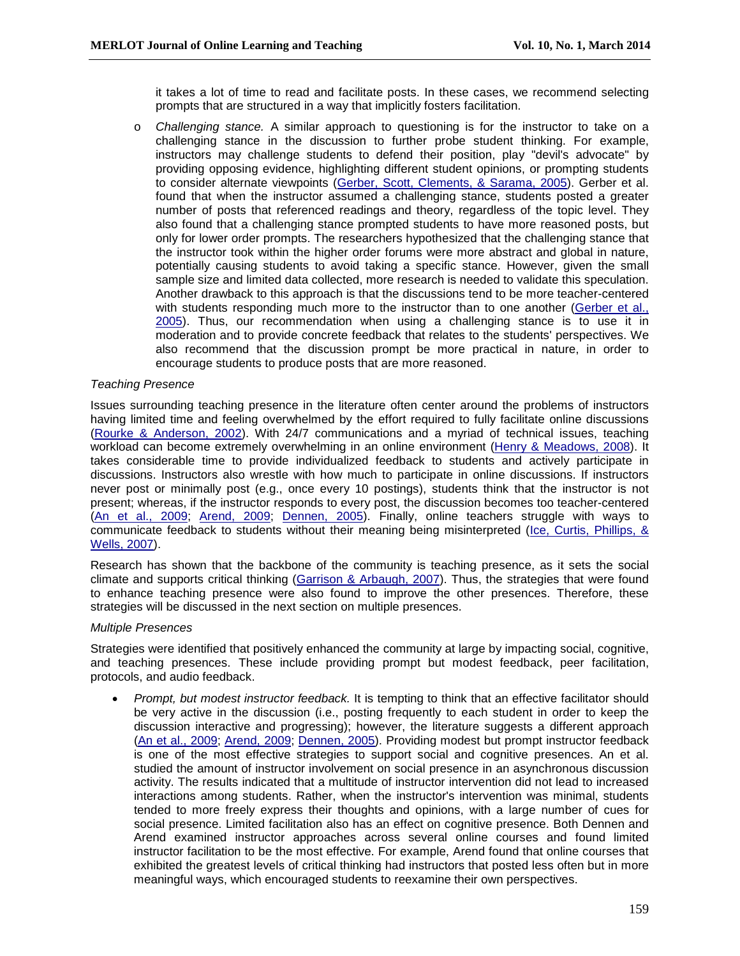it takes a lot of time to read and facilitate posts. In these cases, we recommend selecting prompts that are structured in a way that implicitly fosters facilitation.

o *Challenging stance.* A similar approach to questioning is for the instructor to take on a challenging stance in the discussion to further probe student thinking. For example, instructors may challenge students to defend their position, play "devil's advocate" by providing opposing evidence, highlighting different student opinions, or prompting students to consider alternate viewpoints [\(Gerber, Scott, Clements, & Sarama, 2005\)](http://dx.doi.org/10.1007/BF02504864). Gerber et al. found that when the instructor assumed a challenging stance, students posted a greater number of posts that referenced readings and theory, regardless of the topic level. They also found that a challenging stance prompted students to have more reasoned posts, but only for lower order prompts. The researchers hypothesized that the challenging stance that the instructor took within the higher order forums were more abstract and global in nature, potentially causing students to avoid taking a specific stance. However, given the small sample size and limited data collected, more research is needed to validate this speculation. Another drawback to this approach is that the discussions tend to be more teacher-centered with students responding much more to the instructor than to one another [\(Gerber et al.,](http://dx.doi.org/10.1007/BF02504864)  [2005\)](http://dx.doi.org/10.1007/BF02504864). Thus, our recommendation when using a challenging stance is to use it in moderation and to provide concrete feedback that relates to the students' perspectives. We also recommend that the discussion prompt be more practical in nature, in order to encourage students to produce posts that are more reasoned.

# *Teaching Presence*

Issues surrounding teaching presence in the literature often center around the problems of instructors having limited time and feeling overwhelmed by the effort required to fully facilitate online discussions [\(Rourke & Anderson, 2002\)](http://jime.open.ac.uk/article/2002-1/79). With 24/7 communications and a myriad of technical issues, teaching workload can become extremely overwhelming in an online environment [\(Henry & Meadows, 2008\)](http://www.cjlt.ca/index.php/cjlt/article/view/179/177). It takes considerable time to provide individualized feedback to students and actively participate in discussions. Instructors also wrestle with how much to participate in online discussions. If instructors never post or minimally post (e.g., once every 10 postings), students think that the instructor is not present; whereas, if the instructor responds to every post, the discussion becomes too teacher-centered (An et al., 2009; [Arend, 2009;](http://www.thejeo.com/Archives/Volume6Number1/Arendpaper.pdf) [Dennen, 2005\)](http://dx.doi.org/10.1080/01587910500081376). Finally, online teachers struggle with ways to communicate feedback to students without their meaning being misinterpreted [\(Ice, Curtis, Phillips, &](http://www.sloanconsortium.org/sites/default/files/v11n2_ice_0.pdf)  [Wells, 2007\)](http://www.sloanconsortium.org/sites/default/files/v11n2_ice_0.pdf).

Research has shown that the backbone of the community is teaching presence, as it sets the social climate and supports critical thinking [\(Garrison & Arbaugh, 2007\)](http://dx.doi.org/10.1016/j.iheduc.2007.04.001). Thus, the strategies that were found to enhance teaching presence were also found to improve the other presences. Therefore, these strategies will be discussed in the next section on multiple presences.

# *Multiple Presences*

Strategies were identified that positively enhanced the community at large by impacting social, cognitive, and teaching presences. These include providing prompt but modest feedback, peer facilitation, protocols, and audio feedback.

• *Prompt, but modest instructor feedback.* It is tempting to think that an effective facilitator should be very active in the discussion (i.e., posting frequently to each student in order to keep the discussion interactive and progressing); however, the literature suggests a different approach (An et al., 2009; [Arend, 2009;](http://www.thejeo.com/Archives/Volume6Number1/Arendpaper.pdf) [Dennen, 2005\)](http://dx.doi.org/10.1080/01587910500081376). Providing modest but prompt instructor feedback is one of the most effective strategies to support social and cognitive presences. An et al. studied the amount of instructor involvement on social presence in an asynchronous discussion activity. The results indicated that a multitude of instructor intervention did not lead to increased interactions among students. Rather, when the instructor's intervention was minimal, students tended to more freely express their thoughts and opinions, with a large number of cues for social presence. Limited facilitation also has an effect on cognitive presence. Both Dennen and Arend examined instructor approaches across several online courses and found limited instructor facilitation to be the most effective. For example, Arend found that online courses that exhibited the greatest levels of critical thinking had instructors that posted less often but in more meaningful ways, which encouraged students to reexamine their own perspectives.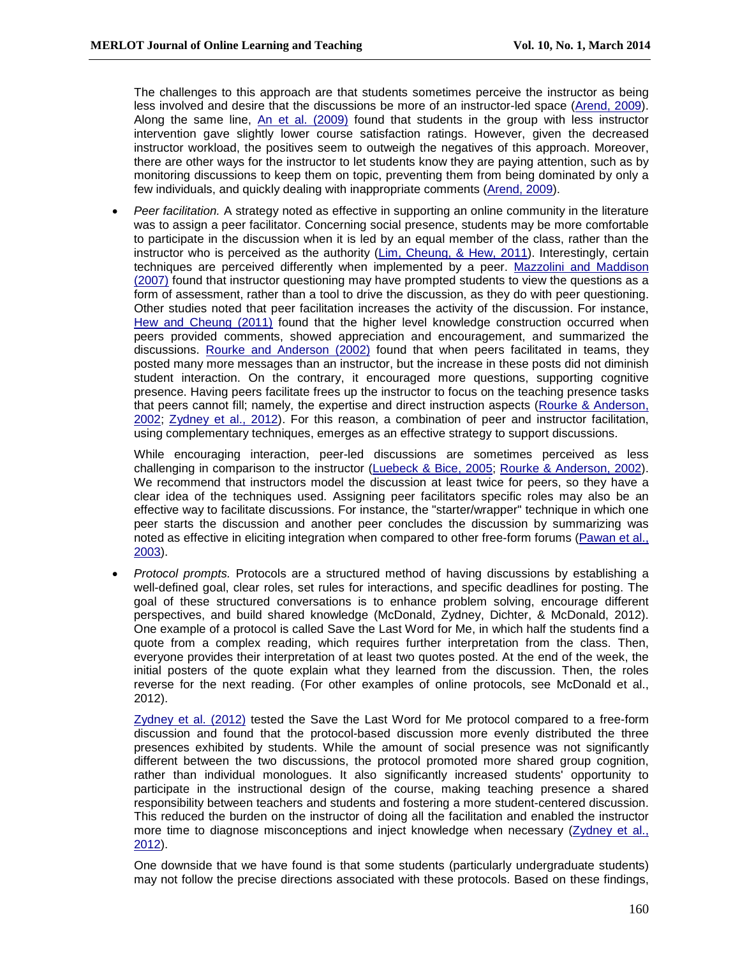The challenges to this approach are that students sometimes perceive the instructor as being less involved and desire that the discussions be more of an instructor-led space [\(Arend, 2009\)](http://www.thejeo.com/Archives/Volume6Number1/Arendpaper.pdf). Along the same line, An et al. (2009) found that students in the group with less instructor intervention gave slightly lower course satisfaction ratings. However, given the decreased instructor workload, the positives seem to outweigh the negatives of this approach. Moreover, there are other ways for the instructor to let students know they are paying attention, such as by monitoring discussions to keep them on topic, preventing them from being dominated by only a few individuals, and quickly dealing with inappropriate comments [\(Arend, 2009\)](http://www.thejeo.com/Archives/Volume6Number1/Arendpaper.pdf).

• *Peer facilitation.* A strategy noted as effective in supporting an online community in the literature was to assign a peer facilitator. Concerning social presence, students may be more comfortable to participate in the discussion when it is led by an equal member of the class, rather than the instructor who is perceived as the authority [\(Lim, Cheung, & Hew, 2011\)](http://www.hkta1934.org.hk/NewHorizon/abstract/2011May/5.pdf). Interestingly, certain techniques are perceived differently when implemented by a peer. [Mazzolini and Maddison](http://dx.doi.org/10.1016/j.compedu.2005.06.011)  [\(2007\)](http://dx.doi.org/10.1016/j.compedu.2005.06.011) found that instructor questioning may have prompted students to view the questions as a form of assessment, rather than a tool to drive the discussion, as they do with peer questioning. Other studies noted that peer facilitation increases the activity of the discussion. For instance, [Hew and Cheung \(2011\)](http://dx.doi.org/10.1007/s11251-010-9129-2) found that the higher level knowledge construction occurred when peers provided comments, showed appreciation and encouragement, and summarized the discussions. [Rourke and Anderson \(2002\)](http://jime.open.ac.uk/article/2002-1/79) found that when peers facilitated in teams, they posted many more messages than an instructor, but the increase in these posts did not diminish student interaction. On the contrary, it encouraged more questions, supporting cognitive presence. Having peers facilitate frees up the instructor to focus on the teaching presence tasks that peers cannot fill; namely, the expertise and direct instruction aspects [\(Rourke & Anderson,](http://jime.open.ac.uk/article/2002-1/79)  [2002;](http://jime.open.ac.uk/article/2002-1/79) [Zydney et al., 2012\)](http://dx.doi.org/10.1016/j.compedu.2011.07.009). For this reason, a combination of peer and instructor facilitation, using complementary techniques, emerges as an effective strategy to support discussions.

While encouraging interaction, peer-led discussions are sometimes perceived as less challenging in comparison to the instructor [\(Luebeck & Bice, 2005;](http://www.jofde.ca/index.php/jde/article/download/81/69) [Rourke & Anderson, 2002\)](http://jime.open.ac.uk/article/2002-1/79). We recommend that instructors model the discussion at least twice for peers, so they have a clear idea of the techniques used. Assigning peer facilitators specific roles may also be an effective way to facilitate discussions. For instance, the "starter/wrapper" technique in which one peer starts the discussion and another peer concludes the discussion by summarizing was noted as effective in eliciting integration when compared to other free-form forums (Pawan et al., [2003\)](http://llt.msu.edu/vol7num3/pawan/default.html).

• *Protocol prompts.* Protocols are a structured method of having discussions by establishing a well-defined goal, clear roles, set rules for interactions, and specific deadlines for posting. The goal of these structured conversations is to enhance problem solving, encourage different perspectives, and build shared knowledge (McDonald, Zydney, Dichter, & McDonald, 2012). One example of a protocol is called Save the Last Word for Me, in which half the students find a quote from a complex reading, which requires further interpretation from the class. Then, everyone provides their interpretation of at least two quotes posted. At the end of the week, the initial posters of the quote explain what they learned from the discussion. Then, the roles reverse for the next reading. (For other examples of online protocols, see McDonald et al., 2012).

[Zydney et al. \(2012\)](http://dx.doi.org/10.1016/j.compedu.2011.07.009) tested the Save the Last Word for Me protocol compared to a free-form discussion and found that the protocol-based discussion more evenly distributed the three presences exhibited by students. While the amount of social presence was not significantly different between the two discussions, the protocol promoted more shared group cognition, rather than individual monologues. It also significantly increased students' opportunity to participate in the instructional design of the course, making teaching presence a shared responsibility between teachers and students and fostering a more student-centered discussion. This reduced the burden on the instructor of doing all the facilitation and enabled the instructor more time to diagnose misconceptions and inject knowledge when necessary  $(Zy$ dney et al., [2012\)](http://dx.doi.org/10.1016/j.compedu.2011.07.009).

One downside that we have found is that some students (particularly undergraduate students) may not follow the precise directions associated with these protocols. Based on these findings,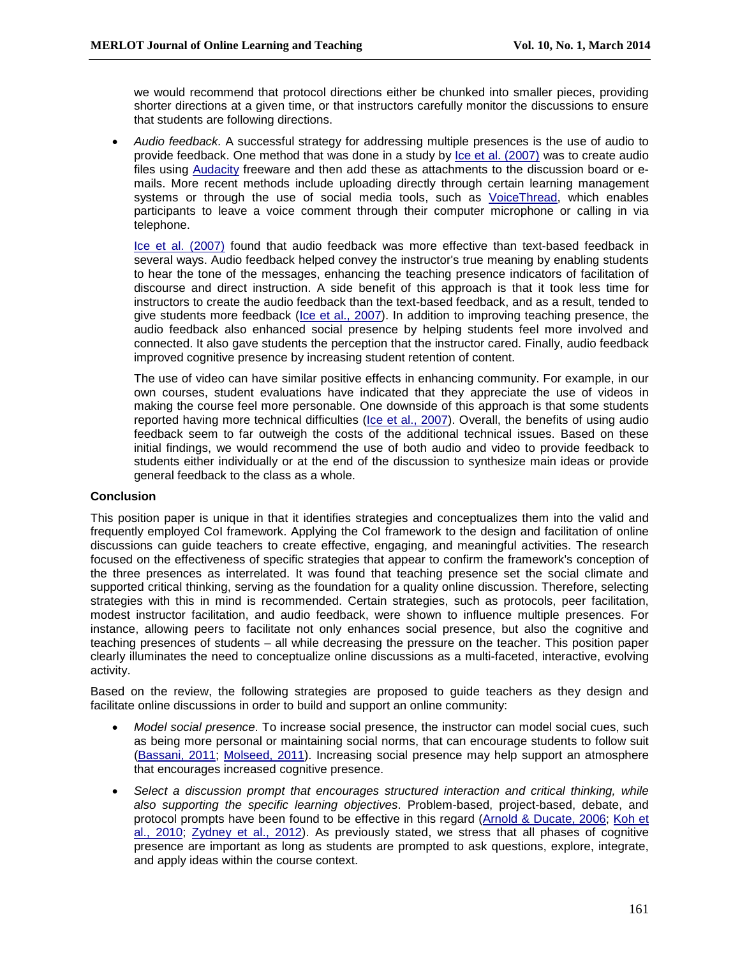we would recommend that protocol directions either be chunked into smaller pieces, providing shorter directions at a given time, or that instructors carefully monitor the discussions to ensure that students are following directions.

• *Audio feedback.* A successful strategy for addressing multiple presences is the use of audio to provide feedback. One method that was done in a study by [Ice et al. \(2007\)](http://www.sloanconsortium.org/sites/default/files/v11n2_ice_0.pdf) was to create audio files using [Audacity](http://audacity.sourceforge.net/%E2%80%8E) freeware and then add these as attachments to the discussion board or emails. More recent methods include uploading directly through certain learning management systems or through the use of social media tools, such as [VoiceThread,](http://www.voicethread.com/) which enables participants to leave a voice comment through their computer microphone or calling in via telephone.

[Ice et al. \(2007\)](http://www.sloanconsortium.org/sites/default/files/v11n2_ice_0.pdf) found that audio feedback was more effective than text-based feedback in several ways. Audio feedback helped convey the instructor's true meaning by enabling students to hear the tone of the messages, enhancing the teaching presence indicators of facilitation of discourse and direct instruction. A side benefit of this approach is that it took less time for instructors to create the audio feedback than the text-based feedback, and as a result, tended to give students more feedback [\(Ice et al., 2007\)](http://www.sloanconsortium.org/sites/default/files/v11n2_ice_0.pdf). In addition to improving teaching presence, the audio feedback also enhanced social presence by helping students feel more involved and connected. It also gave students the perception that the instructor cared. Finally, audio feedback improved cognitive presence by increasing student retention of content.

The use of video can have similar positive effects in enhancing community. For example, in our own courses, student evaluations have indicated that they appreciate the use of videos in making the course feel more personable. One downside of this approach is that some students reported having more technical difficulties [\(Ice et al., 2007\)](http://www.sloanconsortium.org/sites/default/files/v11n2_ice_0.pdf). Overall, the benefits of using audio feedback seem to far outweigh the costs of the additional technical issues. Based on these initial findings, we would recommend the use of both audio and video to provide feedback to students either individually or at the end of the discussion to synthesize main ideas or provide general feedback to the class as a whole.

# **Conclusion**

This position paper is unique in that it identifies strategies and conceptualizes them into the valid and frequently employed CoI framework. Applying the CoI framework to the design and facilitation of online discussions can guide teachers to create effective, engaging, and meaningful activities. The research focused on the effectiveness of specific strategies that appear to confirm the framework's conception of the three presences as interrelated. It was found that teaching presence set the social climate and supported critical thinking, serving as the foundation for a quality online discussion. Therefore, selecting strategies with this in mind is recommended. Certain strategies, such as protocols, peer facilitation, modest instructor facilitation, and audio feedback, were shown to influence multiple presences. For instance, allowing peers to facilitate not only enhances social presence, but also the cognitive and teaching presences of students – all while decreasing the pressure on the teacher. This position paper clearly illuminates the need to conceptualize online discussions as a multi-faceted, interactive, evolving activity.

Based on the review, the following strategies are proposed to guide teachers as they design and facilitate online discussions in order to build and support an online community:

- *Model social presence*. To increase social presence, the instructor can model social cues, such as being more personal or maintaining social norms, that can encourage students to follow suit [\(Bassani, 2011;](http://dx.doi.org/10.1016/j.compedu.2010.11.009) [Molseed, 2011\)](http://dx.doi.org/10.1080/08923647.2011.618401). Increasing social presence may help support an atmosphere that encourages increased cognitive presence.
- *Select a discussion prompt that encourages structured interaction and critical thinking, while also supporting the specific learning objectives*. Problem-based, project-based, debate, and protocol prompts have been found to be effective in this regard [\(Arnold & Ducate, 2006;](http://llt.msu.edu/vol10num1/arnoldducate/default.html) Koh et [al., 2010;](http://dx.doi.org/10.1016/j.iheduc.2010.09.003) [Zydney et al., 2012\)](http://dx.doi.org/10.1016/j.compedu.2011.07.009). As previously stated, we stress that all phases of cognitive presence are important as long as students are prompted to ask questions, explore, integrate, and apply ideas within the course context.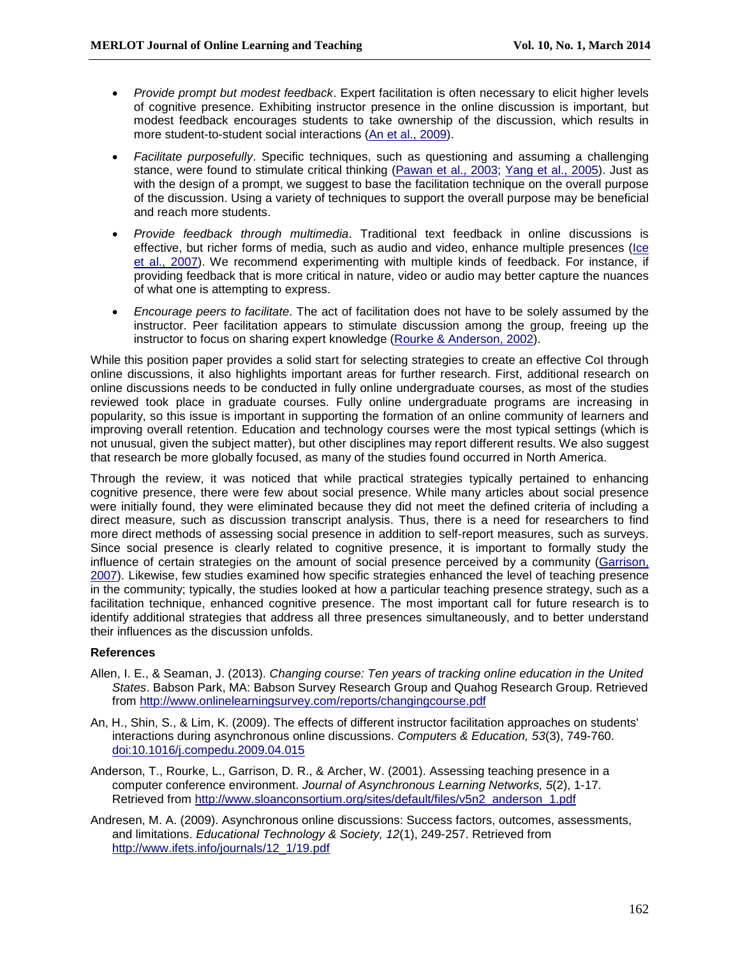- *Provide prompt but modest feedback*. Expert facilitation is often necessary to elicit higher levels of cognitive presence. Exhibiting instructor presence in the online discussion is important, but modest feedback encourages students to take ownership of the discussion, which results in more student-to-student social interactions (An et al., 2009).
- *Facilitate purposefully*. Specific techniques, such as questioning and assuming a challenging stance, were found to stimulate critical thinking [\(Pawan et al., 2003;](http://llt.msu.edu/vol7num3/pawan/default.html) [Yang et al., 2005\)](http://dx.doi.org/10.1207/s15389286ajde1903_4). Just as with the design of a prompt, we suggest to base the facilitation technique on the overall purpose of the discussion. Using a variety of techniques to support the overall purpose may be beneficial and reach more students.
- *Provide feedback through multimedia*. Traditional text feedback in online discussions is effective, but richer forms of media, such as audio and video, enhance multiple presences [\(Ice](http://www.sloanconsortium.org/sites/default/files/v11n2_ice_0.pdf)  [et al., 2007\)](http://www.sloanconsortium.org/sites/default/files/v11n2_ice_0.pdf). We recommend experimenting with multiple kinds of feedback. For instance, if providing feedback that is more critical in nature, video or audio may better capture the nuances of what one is attempting to express.
- *Encourage peers to facilitate*. The act of facilitation does not have to be solely assumed by the instructor. Peer facilitation appears to stimulate discussion among the group, freeing up the instructor to focus on sharing expert knowledge [\(Rourke & Anderson, 2002\)](http://jime.open.ac.uk/article/2002-1/79).

While this position paper provides a solid start for selecting strategies to create an effective CoI through online discussions, it also highlights important areas for further research. First, additional research on online discussions needs to be conducted in fully online undergraduate courses, as most of the studies reviewed took place in graduate courses. Fully online undergraduate programs are increasing in popularity, so this issue is important in supporting the formation of an online community of learners and improving overall retention. Education and technology courses were the most typical settings (which is not unusual, given the subject matter), but other disciplines may report different results. We also suggest that research be more globally focused, as many of the studies found occurred in North America.

Through the review, it was noticed that while practical strategies typically pertained to enhancing cognitive presence, there were few about social presence. While many articles about social presence were initially found, they were eliminated because they did not meet the defined criteria of including a direct measure, such as discussion transcript analysis. Thus, there is a need for researchers to find more direct methods of assessing social presence in addition to self-report measures, such as surveys. Since social presence is clearly related to cognitive presence, it is important to formally study the influence of certain strategies on the amount of social presence perceived by a community (Garrison, [2007\)](http://www.sloanconsortium.org/sites/default/files/v11n1_8garrison.pdf). Likewise, few studies examined how specific strategies enhanced the level of teaching presence in the community; typically, the studies looked at how a particular teaching presence strategy, such as a facilitation technique, enhanced cognitive presence. The most important call for future research is to identify additional strategies that address all three presences simultaneously, and to better understand their influences as the discussion unfolds.

# **References**

- Allen, I. E., & Seaman, J. (2013). *Changing course: Ten years of tracking online education in the United States*. Babson Park, MA: Babson Survey Research Group and Quahog Research Group. Retrieved from<http://www.onlinelearningsurvey.com/reports/changingcourse.pdf>
- An, H., Shin, S., & Lim, K. (2009). The effects of different instructor facilitation approaches on students' interactions during asynchronous online discussions. *Computers & Education, 53*(3), 749-760. [doi:10.1016/j.compedu.2009.04.015](http://dx.doi.org/10.1016/j.compedu.2009.04.015)
- Anderson, T., Rourke, L., Garrison, D. R., & Archer, W. (2001). Assessing teaching presence in a computer conference environment. *Journal of Asynchronous Learning Networks, 5*(2), 1-17. Retrieved from [http://www.sloanconsortium.org/sites/default/files/v5n2\\_anderson\\_1.pdf](http://www.sloanconsortium.org/sites/default/files/v5n2_anderson_1.pdf)
- Andresen, M. A. (2009). Asynchronous online discussions: Success factors, outcomes, assessments, and limitations. *Educational Technology & Society, 12*(1), 249-257. Retrieved from [http://www.ifets.info/journals/12\\_1/19.pdf](http://www.ifets.info/journals/12_1/19.pdf)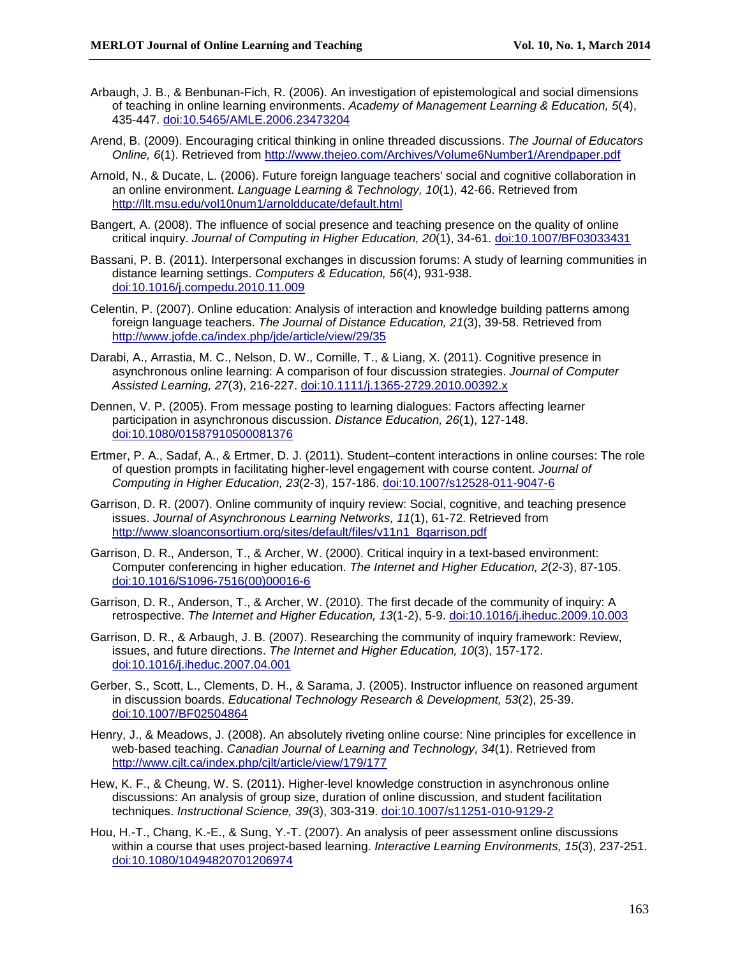- Arbaugh, J. B., & Benbunan-Fich, R. (2006). An investigation of epistemological and social dimensions of teaching in online learning environments. *Academy of Management Learning & Education, 5*(4), 435-447. [doi:10.5465/AMLE.2006.23473204](http://dx.doi.org/10.5465/AMLE.2006.23473204)
- Arend, B. (2009). Encouraging critical thinking in online threaded discussions. *The Journal of Educators Online, 6*(1). Retrieved from<http://www.thejeo.com/Archives/Volume6Number1/Arendpaper.pdf>
- Arnold, N., & Ducate, L. (2006). Future foreign language teachers' social and cognitive collaboration in an online environment. *Language Learning & Technology, 10*(1), 42-66. Retrieved from <http://llt.msu.edu/vol10num1/arnoldducate/default.html>
- Bangert, A. (2008). The influence of social presence and teaching presence on the quality of online critical inquiry. *Journal of Computing in Higher Education, 20*(1), 34-61. [doi:10.1007/BF03033431](http://dx.doi.org/10.1007/BF03033431)
- Bassani, P. B. (2011). Interpersonal exchanges in discussion forums: A study of learning communities in distance learning settings. *Computers & Education, 56*(4), 931-938. [doi:10.1016/j.compedu.2010.11.009](http://dx.doi.org/10.1016/j.compedu.2010.11.009)
- Celentin, P. (2007). Online education: Analysis of interaction and knowledge building patterns among foreign language teachers. *The Journal of Distance Education, 21*(3), 39-58. Retrieved from <http://www.jofde.ca/index.php/jde/article/view/29/35>
- Darabi, A., Arrastia, M. C., Nelson, D. W., Cornille, T., & Liang, X. (2011). Cognitive presence in asynchronous online learning: A comparison of four discussion strategies. *Journal of Computer Assisted Learning, 27*(3), 216-227. [doi:10.1111/j.1365-2729.2010.00392.x](http://dx.doi.org/10.1111/j.1365-2729.2010.00392.x)
- Dennen, V. P. (2005). From message posting to learning dialogues: Factors affecting learner participation in asynchronous discussion. *Distance Education, 26*(1), 127-148. [doi:10.1080/01587910500081376](http://dx.doi.org/10.1080/01587910500081376)
- Ertmer, P. A., Sadaf, A., & Ertmer, D. J. (2011). Student–content interactions in online courses: The role of question prompts in facilitating higher-level engagement with course content. *Journal of Computing in Higher Education, 23*(2-3), 157-186. [doi:10.1007/s12528-011-9047-6](http://dx.doi.org/10.1007/s12528-011-9047-6)
- Garrison, D. R. (2007). Online community of inquiry review: Social, cognitive, and teaching presence issues. *Journal of Asynchronous Learning Networks, 11*(1), 61-72. Retrieved from [http://www.sloanconsortium.org/sites/default/files/v11n1\\_8garrison.pdf](http://www.sloanconsortium.org/sites/default/files/v11n1_8garrison.pdf)
- Garrison, D. R., Anderson, T., & Archer, W. (2000). Critical inquiry in a text-based environment: Computer conferencing in higher education. *The Internet and Higher Education, 2*(2-3), 87-105. [doi:10.1016/S1096-7516\(00\)00016-6](http://dx.doi.org/10.1016/S1096-7516(00)00016-6)
- Garrison, D. R., Anderson, T., & Archer, W. (2010). The first decade of the community of inquiry: A retrospective. *The Internet and Higher Education, 13*(1-2), 5-9. [doi:10.1016/j.iheduc.2009.10.003](http://dx.doi.org/10.1016/j.iheduc.2009.10.003)
- Garrison, D. R., & Arbaugh, J. B. (2007). Researching the community of inquiry framework: Review, issues, and future directions. *The Internet and Higher Education, 10*(3), 157-172. [doi:10.1016/j.iheduc.2007.04.001](http://dx.doi.org/10.1016/j.iheduc.2007.04.001)
- Gerber, S., Scott, L., Clements, D. H., & Sarama, J. (2005). Instructor influence on reasoned argument in discussion boards. *Educational Technology Research & Development, 53*(2), 25-39. [doi:10.1007/BF02504864](http://dx.doi.org/10.1007/BF02504864)
- Henry, J., & Meadows, J. (2008). An absolutely riveting online course: Nine principles for excellence in web-based teaching. *Canadian Journal of Learning and Technology, 34*(1). Retrieved from <http://www.cjlt.ca/index.php/cjlt/article/view/179/177>
- Hew, K. F., & Cheung, W. S. (2011). Higher-level knowledge construction in asynchronous online discussions: An analysis of group size, duration of online discussion, and student facilitation techniques. *Instructional Science, 39*(3), 303-319. [doi:10.1007/s11251-010-9129-2](http://dx.doi.org/10.1007/s11251-010-9129-2)
- Hou, H.-T., Chang, K.-E., & Sung, Y.-T. (2007). An analysis of peer assessment online discussions within a course that uses project-based learning. *Interactive Learning Environments, 15*(3), 237-251. [doi:10.1080/10494820701206974](http://dx.doi.org/10.1080/10494820701206974)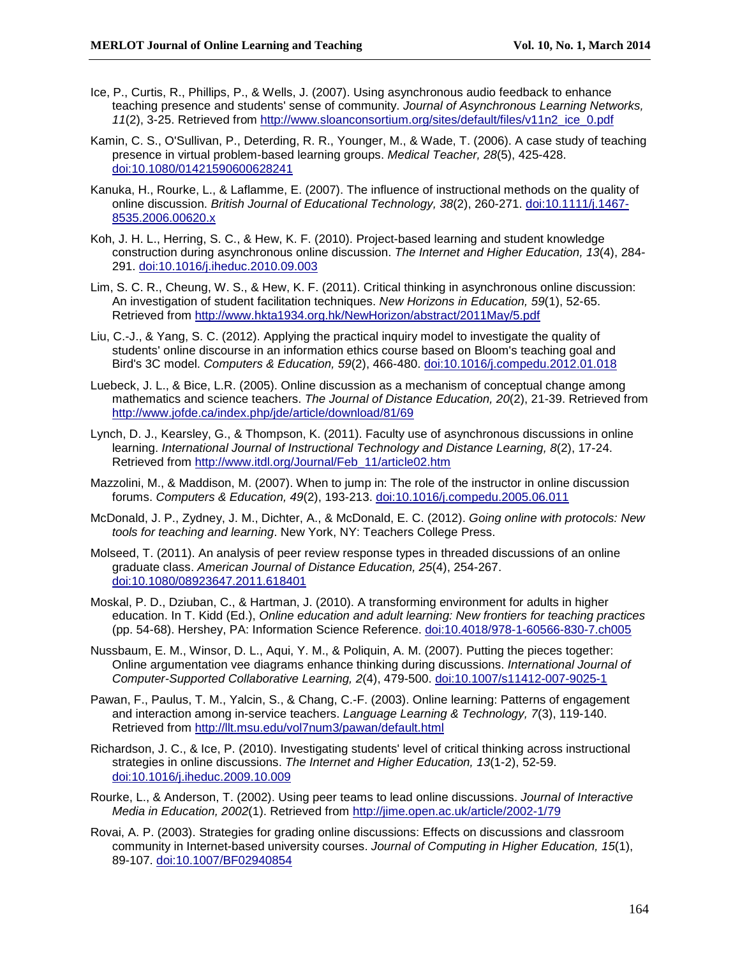- Ice, P., Curtis, R., Phillips, P., & Wells, J. (2007). Using asynchronous audio feedback to enhance teaching presence and students' sense of community. *Journal of Asynchronous Learning Networks, 11*(2), 3-25. Retrieved from [http://www.sloanconsortium.org/sites/default/files/v11n2\\_ice\\_0.pdf](http://www.sloanconsortium.org/sites/default/files/v11n2_ice_0.pdf)
- Kamin, C. S., O'Sullivan, P., Deterding, R. R., Younger, M., & Wade, T. (2006). A case study of teaching presence in virtual problem-based learning groups. *Medical Teacher, 28*(5), 425-428. [doi:10.1080/01421590600628241](http://dx.doi.org/10.1080/01421590600628241)
- Kanuka, H., Rourke, L., & Laflamme, E. (2007). The influence of instructional methods on the quality of online discussion. *British Journal of Educational Technology, 38*(2), 260-271. [doi:10.1111/j.1467-](http://dx.doi.org/10.1111/j.1467-8535.2006.00620.x) [8535.2006.00620.x](http://dx.doi.org/10.1111/j.1467-8535.2006.00620.x)
- Koh, J. H. L., Herring, S. C., & Hew, K. F. (2010). Project-based learning and student knowledge construction during asynchronous online discussion. *The Internet and Higher Education, 13*(4), 284- 291. [doi:10.1016/j.iheduc.2010.09.003](http://dx.doi.org/10.1016/j.iheduc.2010.09.003)
- Lim, S. C. R., Cheung, W. S., & Hew, K. F. (2011). Critical thinking in asynchronous online discussion: An investigation of student facilitation techniques. *New Horizons in Education, 59*(1), 52-65. Retrieved from<http://www.hkta1934.org.hk/NewHorizon/abstract/2011May/5.pdf>
- Liu, C.-J., & Yang, S. C. (2012). Applying the practical inquiry model to investigate the quality of students' online discourse in an information ethics course based on Bloom's teaching goal and Bird's 3C model. *Computers & Education, 59*(2), 466-480. [doi:10.1016/j.compedu.2012.01.018](http://dx.doi.org/10.1016/j.compedu.2012.01.018)
- Luebeck, J. L., & Bice, L.R. (2005). Online discussion as a mechanism of conceptual change among mathematics and science teachers. *The Journal of Distance Education, 20*(2), 21-39. Retrieved from <http://www.jofde.ca/index.php/jde/article/download/81/69>
- Lynch, D. J., Kearsley, G., & Thompson, K. (2011). Faculty use of asynchronous discussions in online learning. *International Journal of Instructional Technology and Distance Learning, 8*(2), 17-24. Retrieved from [http://www.itdl.org/Journal/Feb\\_11/article02.htm](http://www.itdl.org/Journal/Feb_11/article02.htm)
- Mazzolini, M., & Maddison, M. (2007). When to jump in: The role of the instructor in online discussion forums. *Computers & Education, 49*(2), 193-213. [doi:10.1016/j.compedu.2005.06.011](http://dx.doi.org/10.1016/j.compedu.2005.06.011)
- McDonald, J. P., Zydney, J. M., Dichter, A., & McDonald, E. C. (2012). *Going online with protocols: New tools for teaching and learning*. New York, NY: Teachers College Press.
- Molseed, T. (2011). An analysis of peer review response types in threaded discussions of an online graduate class. *American Journal of Distance Education, 25*(4), 254-267. [doi:10.1080/08923647.2011.618401](http://dx.doi.org/10.1080/08923647.2011.618401)
- Moskal, P. D., Dziuban, C., & Hartman, J. (2010). A transforming environment for adults in higher education. In T. Kidd (Ed.), *Online education and adult learning: New frontiers for teaching practices* (pp. 54-68). Hershey, PA: Information Science Reference. [doi:10.4018/978-1-60566-830-7.ch005](http://dx.doi.org/10.4018/978-1-60566-830-7.ch005)
- Nussbaum, E. M., Winsor, D. L., Aqui, Y. M., & Poliquin, A. M. (2007). Putting the pieces together: Online argumentation vee diagrams enhance thinking during discussions. *International Journal of Computer-Supported Collaborative Learning, 2*(4), 479-500. [doi:10.1007/s11412-007-9025-1](http://dx.doi.org/10.1007/s11412-007-9025-1)
- Pawan, F., Paulus, T. M., Yalcin, S., & Chang, C.-F. (2003). Online learning: Patterns of engagement and interaction among in-service teachers. *Language Learning & Technology, 7*(3), 119-140. Retrieved from<http://llt.msu.edu/vol7num3/pawan/default.html>
- Richardson, J. C., & Ice, P. (2010). Investigating students' level of critical thinking across instructional strategies in online discussions. *The Internet and Higher Education, 13*(1-2), 52-59. [doi:10.1016/j.iheduc.2009.10.009](http://dx.doi.org/10.1016/j.iheduc.2009.10.009)
- Rourke, L., & Anderson, T. (2002). Using peer teams to lead online discussions. *Journal of Interactive Media in Education, 2002*(1). Retrieved from<http://jime.open.ac.uk/article/2002-1/79>
- Rovai, A. P. (2003). Strategies for grading online discussions: Effects on discussions and classroom community in Internet-based university courses. *Journal of Computing in Higher Education, 15*(1), 89-107. [doi:10.1007/BF02940854](http://dx.doi.org/10.1007/BF02940854)